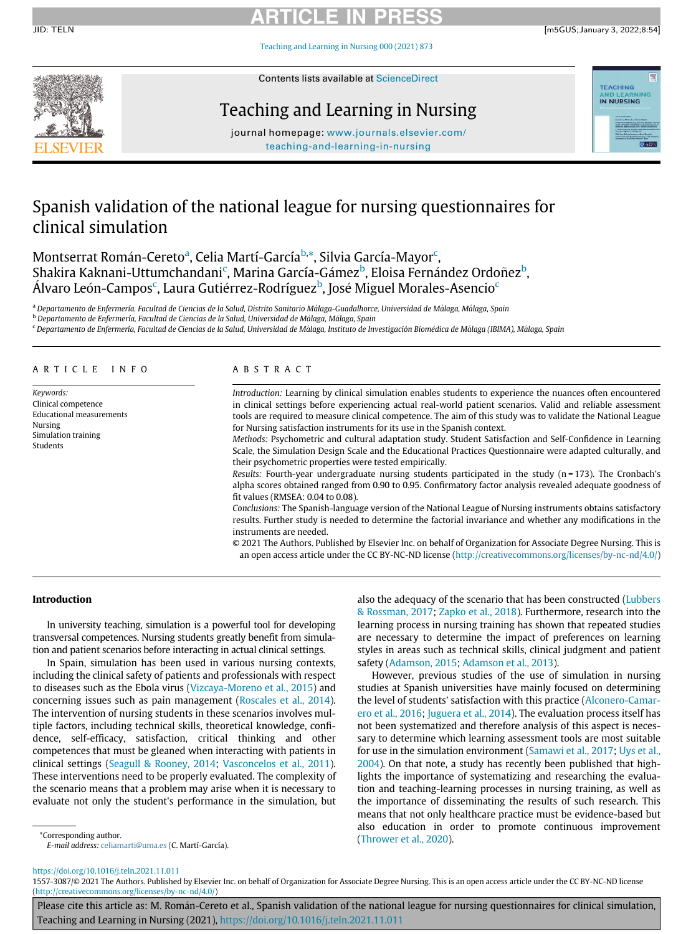# ARTICLE IN PRESS

JID: TELN [m5GUS;January 3, 2022;8:54]

[Teaching and Learning in Nursing 000 \(2021\) 873](https://doi.org/10.1016/j.teln.2021.11.011)



Contents lists available at [ScienceDirect](http://www.ScienceDirect.com)

## Teaching and Learning in Nursing



journal homepage: [www.journals.elsevier.com/](http://www.journals.elsevier.com/teaching-and-learning-in-nursing) [teaching-and-learning-in-nursing](http://www.journals.elsevier.com/teaching-and-learning-in-nursing)

# Spanish validation of the national league for nursing questionnaires for clinical simulation

Montserr[a](#page-0-0)t Román-Cereto<sup>a</sup>, Celia Martí-García<sup>[b,](#page-0-1)</sup>[\\*,](#page-0-2) Silvia Gar[c](#page-0-3)ía-Mayor<sup>c</sup>, Shakira Kaknani-Uttum[c](#page-0-3)handani<sup>c</sup>, Marina García-Gámez<sup>[b](#page-0-1)</sup>, Eloisa Fernández Ordoñez<sup>b</sup>, Álvaro León-Campos<sup>[c](#page-0-3)</sup>, Laura Gutiérrez-Rodríguez<sup>[b](#page-0-1)</sup>, José Miguel Morales-Asencio<sup>c</sup>

<span id="page-0-0"></span>a Departamento de Enfermería. Facultad de Ciencias de la Salud, Distrito Sanitario Málaga-Guadalhorce, Universidad de Málaga, Málaga, Spain

<span id="page-0-1"></span><sup>b</sup> Departamento de Enfermería, Facultad de Ciencias de la Salud, Universidad de Málaga, Málaga, Spain

<span id="page-0-3"></span><sup>c</sup> Departamento de Enfermería, Facultad de Ciencias de la Salud, Universidad de Málaga, Instituto de Investigación Biomédica de Málaga (IBIMA), Málaga, Spain

## ARTICLE INFO ABSTRACT

Keywords: Clinical competence Educational measurements Nursing Simulation training Students

Introduction: Learning by clinical simulation enables students to experience the nuances often encountered in clinical settings before experiencing actual real-world patient scenarios. Valid and reliable assessment tools are required to measure clinical competence. The aim of this study was to validate the National League for Nursing satisfaction instruments for its use in the Spanish context.

Methods: Psychometric and cultural adaptation study. Student Satisfaction and Self-Confidence in Learning Scale, the Simulation Design Scale and the Educational Practices Questionnaire were adapted culturally, and their psychometric properties were tested empirically.

Results: Fourth-year undergraduate nursing students participated in the study (n = 173). The Cronbach's alpha scores obtained ranged from 0.90 to 0.95. Confirmatory factor analysis revealed adequate goodness of fit values (RMSEA: 0.04 to 0.08).

Conclusions: The Spanish-language version of the National League of Nursing instruments obtains satisfactory results. Further study is needed to determine the factorial invariance and whether any modifications in the instruments are needed.

© 2021 The Authors. Published by Elsevier Inc. on behalf of Organization for Associate Degree Nursing. This is an open access article under the CC BY-NC-ND license [\(http://creativecommons.org/licenses/by-nc-nd/4.0/](http://creativecommons.org/licenses/by-nc-nd/4.0/))

## Introduction

In university teaching, simulation is a powerful tool for developing transversal competences. Nursing students greatly benefit from simulation and patient scenarios before interacting in actual clinical settings.

In Spain, simulation has been used in various nursing contexts, including the clinical safety of patients and professionals with respect to diseases such as the Ebola virus ([Vizcaya-Moreno et al., 2015](#page-5-0)) and concerning issues such as pain management [\(Roscales et al., 2014](#page-5-1)). The intervention of nursing students in these scenarios involves multiple factors, including technical skills, theoretical knowledge, confidence, self-efficacy, satisfaction, critical thinking and other competences that must be gleaned when interacting with patients in clinical settings [\(Seagull & Rooney, 2014;](#page-5-2) [Vasconcelos et al., 2011](#page-5-3)). These interventions need to be properly evaluated. The complexity of the scenario means that a problem may arise when it is necessary to evaluate not only the student's performance in the simulation, but also the adequacy of the scenario that has been constructed [\(Lubbers](#page-5-4) [& Rossman, 2017;](#page-5-4) [Zapko et al., 2018\)](#page-5-5). Furthermore, research into the learning process in nursing training has shown that repeated studies are necessary to determine the impact of preferences on learning styles in areas such as technical skills, clinical judgment and patient safety [\(Adamson, 2015](#page-5-6); [Adamson et al., 2013](#page-5-7)).

However, previous studies of the use of simulation in nursing studies at Spanish universities have mainly focused on determining the level of students' satisfaction with this practice ([Alconero-Camar](#page-5-8)[ero et al., 2016](#page-5-8); [Juguera et al., 2014](#page-5-9)). The evaluation process itself has not been systematized and therefore analysis of this aspect is necessary to determine which learning assessment tools are most suitable for use in the simulation environment [\(Samawi et al., 2017](#page-5-10); [Uys et al.,](#page-5-11) [2004](#page-5-11)). On that note, a study has recently been published that highlights the importance of systematizing and researching the evaluation and teaching-learning processes in nursing training, as well as the importance of disseminating the results of such research. This means that not only healthcare practice must be evidence-based but also education in order to promote continuous improvement \*Corresponding author.<br>
Figure 1 determination and Corresponding author. ([Thrower et al., 2020](#page-5-12)).

<span id="page-0-2"></span>

E-mail address: [celiamarti@uma.es](mailto:celiamarti@uma.es) (C. Martí-García).

<https://doi.org/10.1016/j.teln.2021.11.011>

<sup>1557-3087/© 2021</sup> The Authors. Published by Elsevier Inc. on behalf of Organization for Associate Degree Nursing. This is an open access article under the CC BY-NC-ND license [\(http://creativecommons.org/licenses/by-nc-nd/4.0/\)](http://creativecommons.org/licenses/by-nc-nd/4.0/)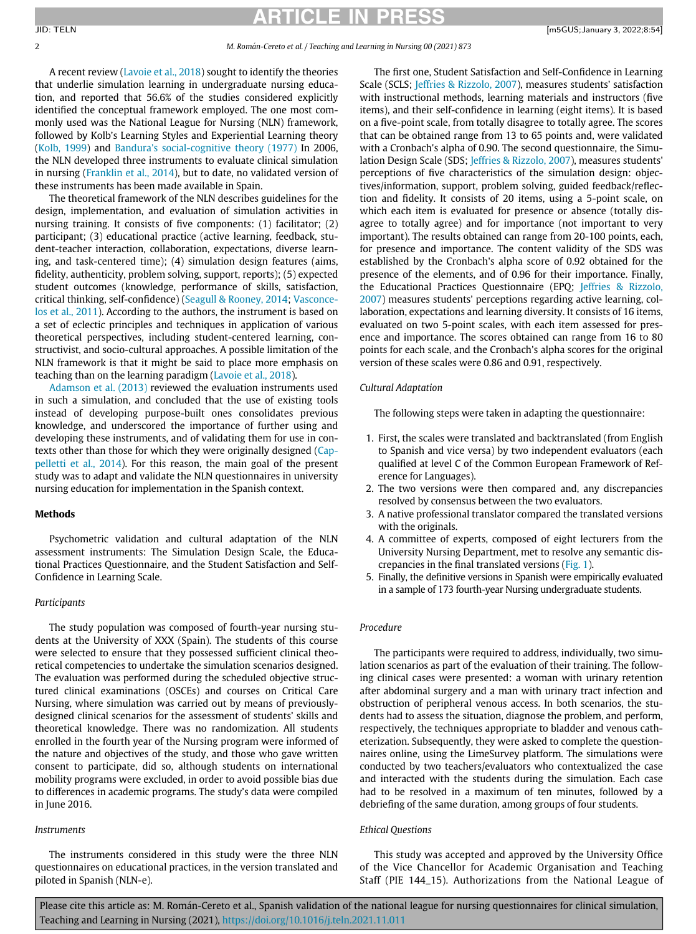## ARTICLE IN PRES

### 2 M. Roman-Cereto et al. / Teaching and Learning in Nursing 00 (2021) 873

A recent review [\(Lavoie et al., 2018](#page-5-13)) sought to identify the theories that underlie simulation learning in undergraduate nursing education, and reported that 56.6% of the studies considered explicitly identified the conceptual framework employed. The one most commonly used was the National League for Nursing (NLN) framework, followed by Kolb's Learning Styles and Experiential Learning theory ([Kolb, 1999\)](#page-5-14) and Bandura'[s social-cognitive theory \(1977\)](#page-5-15) In 2006, the NLN developed three instruments to evaluate clinical simulation in nursing ([Franklin et al., 2014](#page-5-16)), but to date, no validated version of these instruments has been made available in Spain.

The theoretical framework of the NLN describes guidelines for the design, implementation, and evaluation of simulation activities in nursing training. It consists of five components: (1) facilitator; (2) participant; (3) educational practice (active learning, feedback, student-teacher interaction, collaboration, expectations, diverse learning, and task-centered time); (4) simulation design features (aims, fidelity, authenticity, problem solving, support, reports); (5) expected student outcomes (knowledge, performance of skills, satisfaction, critical thinking, self-confidence) [\(Seagull & Rooney, 2014](#page-5-2); [Vasconce](#page-5-3)[los et al., 2011](#page-5-3)). According to the authors, the instrument is based on a set of eclectic principles and techniques in application of various theoretical perspectives, including student-centered learning, constructivist, and socio-cultural approaches. A possible limitation of the NLN framework is that it might be said to place more emphasis on teaching than on the learning paradigm [\(Lavoie et al., 2018](#page-5-13)).

[Adamson et al. \(2013\)](#page-5-7) reviewed the evaluation instruments used in such a simulation, and concluded that the use of existing tools instead of developing purpose-built ones consolidates previous knowledge, and underscored the importance of further using and developing these instruments, and of validating them for use in contexts other than those for which they were originally designed [\(Cap](#page-5-17)[pelletti et al., 2014\)](#page-5-17). For this reason, the main goal of the present study was to adapt and validate the NLN questionnaires in university nursing education for implementation in the Spanish context.

## Methods

Psychometric validation and cultural adaptation of the NLN assessment instruments: The Simulation Design Scale, the Educational Practices Questionnaire, and the Student Satisfaction and Self-Confidence in Learning Scale.

## Participants

The study population was composed of fourth-year nursing students at the University of XXX (Spain). The students of this course were selected to ensure that they possessed sufficient clinical theoretical competencies to undertake the simulation scenarios designed. The evaluation was performed during the scheduled objective structured clinical examinations (OSCEs) and courses on Critical Care Nursing, where simulation was carried out by means of previouslydesigned clinical scenarios for the assessment of students' skills and theoretical knowledge. There was no randomization. All students enrolled in the fourth year of the Nursing program were informed of the nature and objectives of the study, and those who gave written consent to participate, did so, although students on international mobility programs were excluded, in order to avoid possible bias due to differences in academic programs. The study's data were compiled in June 2016.

### Instruments

The instruments considered in this study were the three NLN questionnaires on educational practices, in the version translated and piloted in Spanish (NLN-e).

The first one, Student Satisfaction and Self-Confidence in Learning Scale (SCLS; [Jeffries & Rizzolo, 2007](#page-5-18)), measures students' satisfaction with instructional methods, learning materials and instructors (five items), and their self-confidence in learning (eight items). It is based on a five-point scale, from totally disagree to totally agree. The scores that can be obtained range from 13 to 65 points and, were validated with a Cronbach's alpha of 0.90. The second questionnaire, the Simulation Design Scale (SDS; [Jeffries & Rizzolo, 2007\)](#page-5-18), measures students' perceptions of five characteristics of the simulation design: objectives/information, support, problem solving, guided feedback/reflection and fidelity. It consists of 20 items, using a 5-point scale, on which each item is evaluated for presence or absence (totally disagree to totally agree) and for importance (not important to very important). The results obtained can range from 20-100 points, each, for presence and importance. The content validity of the SDS was established by the Cronbach's alpha score of 0.92 obtained for the presence of the elements, and of 0.96 for their importance. Finally, the Educational Practices Questionnaire (EPQ; [Jeffries & Rizzolo,](#page-5-18) [2007](#page-5-18)) measures students' perceptions regarding active learning, collaboration, expectations and learning diversity. It consists of 16 items, evaluated on two 5-point scales, with each item assessed for presence and importance. The scores obtained can range from 16 to 80 points for each scale, and the Cronbach's alpha scores for the original version of these scales were 0.86 and 0.91, respectively.

## Cultural Adaptation

The following steps were taken in adapting the questionnaire:

- 1. First, the scales were translated and backtranslated (from English to Spanish and vice versa) by two independent evaluators (each qualified at level C of the Common European Framework of Reference for Languages).
- 2. The two versions were then compared and, any discrepancies resolved by consensus between the two evaluators.
- 3. A native professional translator compared the translated versions with the originals.
- 4. A committee of experts, composed of eight lecturers from the University Nursing Department, met to resolve any semantic discrepancies in the final translated versions [\(Fig. 1](#page-2-0)).
- 5. Finally, the definitive versions in Spanish were empirically evaluated in a sample of 173 fourth-year Nursing undergraduate students.

## Procedure

The participants were required to address, individually, two simulation scenarios as part of the evaluation of their training. The following clinical cases were presented: a woman with urinary retention after abdominal surgery and a man with urinary tract infection and obstruction of peripheral venous access. In both scenarios, the students had to assess the situation, diagnose the problem, and perform, respectively, the techniques appropriate to bladder and venous catheterization. Subsequently, they were asked to complete the questionnaires online, using the LimeSurvey platform. The simulations were conducted by two teachers/evaluators who contextualized the case and interacted with the students during the simulation. Each case had to be resolved in a maximum of ten minutes, followed by a debriefing of the same duration, among groups of four students.

## Ethical Questions

This study was accepted and approved by the University Office of the Vice Chancellor for Academic Organisation and Teaching Staff (PIE 144\_15). Authorizations from the National League of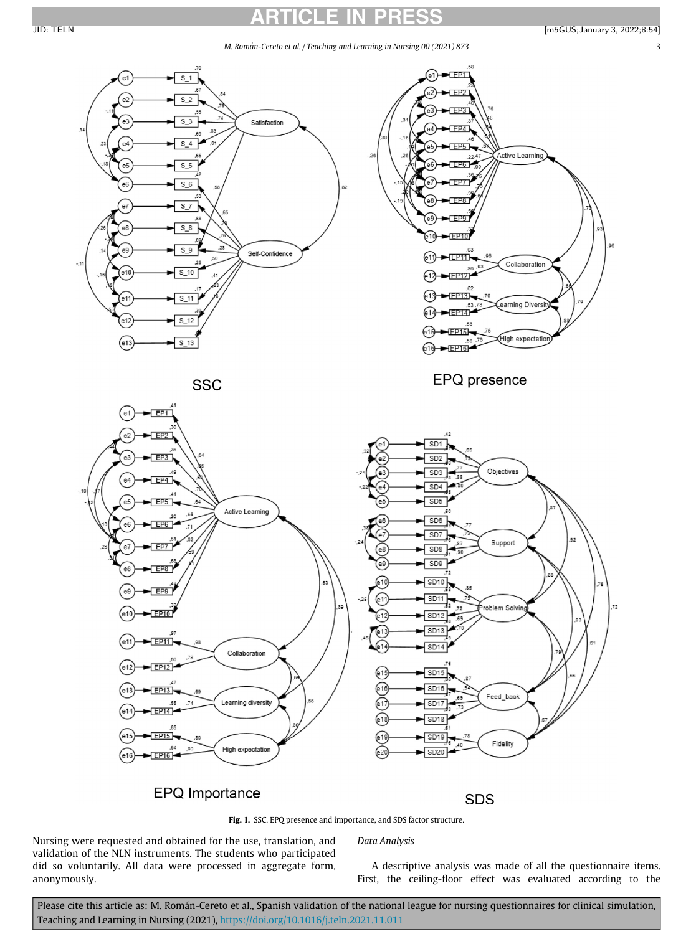# ARTICLE IN PRESS

M. Román-Cereto et al. / Teaching and Learning in Nursing 00 (2021) 873 3

<span id="page-2-0"></span>

**SSC** 

EPQ presence



## EPQ Importance

**SDS** 

Fig. 1. SSC, EPQ presence and importance, and SDS factor structure.

Data Analysis

Nursing were requested and obtained for the use, translation, and validation of the NLN instruments. The students who participated did so voluntarily. All data were processed in aggregate form, anonymously.

A descriptive analysis was made of all the questionnaire items. First, the ceiling-floor effect was evaluated according to the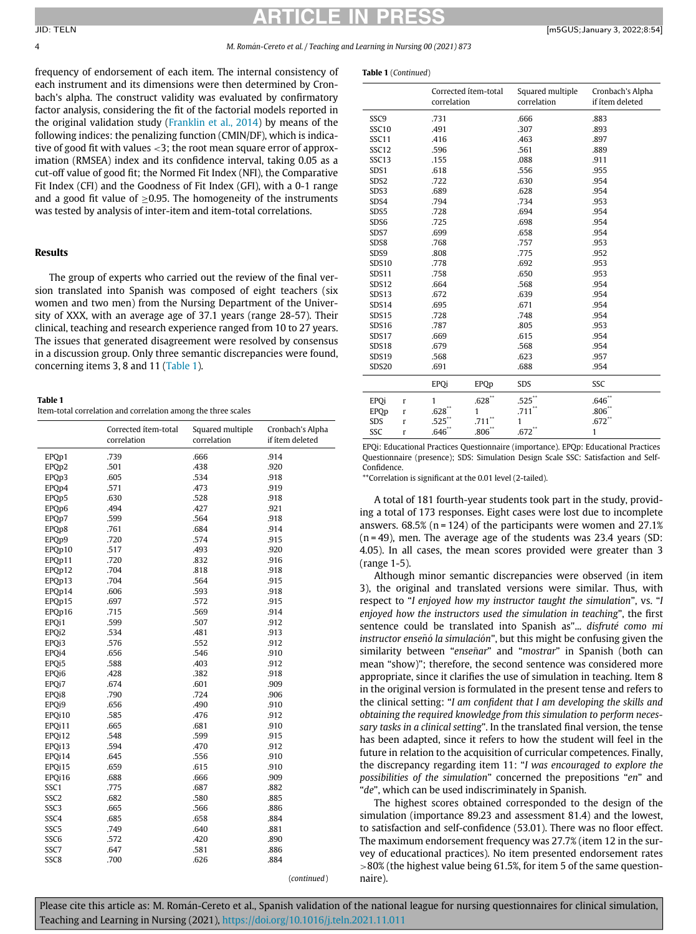# ARTICLE IN PRESS

4 M. Roman-Cereto et al. / Teaching and Learning in Nursing 00 (2021) 873

Table 1 (Continued)

frequency of endorsement of each item. The internal consistency of each instrument and its dimensions were then determined by Cronbach's alpha. The construct validity was evaluated by confirmatory factor analysis, considering the fit of the factorial models reported in the original validation study ([Franklin et al., 2014\)](#page-5-16) by means of the following indices: the penalizing function (CMIN/DF), which is indicative of good fit with values <3; the root mean square error of approximation (RMSEA) index and its confidence interval, taking 0.05 as a cut-off value of good fit; the Normed Fit Index (NFI), the Comparative Fit Index (CFI) and the Goodness of Fit Index (GFI), with a 0-1 range and a good fit value of  $\geq$ 0.95. The homogeneity of the instruments was tested by analysis of inter-item and item-total correlations.

## Results

The group of experts who carried out the review of the final version translated into Spanish was composed of eight teachers (six women and two men) from the Nursing Department of the University of XXX, with an average age of 37.1 years (range 28-57). Their clinical, teaching and research experience ranged from 10 to 27 years. The issues that generated disagreement were resolved by consensus in a discussion group. Only three semantic discrepancies were found, concerning items 3, 8 and 11 ([Table 1\)](#page-3-0).

<span id="page-3-0"></span>Table 1

Item-total correlation and correlation among the three scales

|                    | Corrected ítem-total<br>correlation | Squared multiple<br>correlation | Cronbach's Alpha<br>if ítem deleted |
|--------------------|-------------------------------------|---------------------------------|-------------------------------------|
| EPQp1              | .739                                | .666                            | .914                                |
| EPQp2              | .501                                | .438                            | .920                                |
| EPQp3              | .605                                | .534                            | .918                                |
| EPQp4              | .571                                | .473                            | .919                                |
| EPQp5              | .630                                | .528                            | .918                                |
| EPQp6              | .494                                | .427                            | .921                                |
| EPOp7              | .599                                | .564                            | .918                                |
| EPQp8              | .761                                | .684                            | .914                                |
| EPOp9              | .720                                | .574                            | .915                                |
| EPOp10             | .517                                | .493                            | .920                                |
| EPQp11             | .720                                | .832                            | .916                                |
| EPOp12             | .704                                | .818                            | .918                                |
| EPOp13             | .704                                | .564                            | .915                                |
| EPOp14             | .606                                | .593                            | .918                                |
| EPOp15             | .697                                | .572                            | .915                                |
| EPOp16             | .715                                | .569                            | .914                                |
| EPOi1              | .599                                | .507                            | .912                                |
| EPQi2              | .534                                | .481                            | .913                                |
| EPQi3              | .576                                | .552                            | .912                                |
| EPQi4              | .656                                | .546                            | .910                                |
| EPOi5              | .588                                | .403                            | .912                                |
| EPQi6              | .428                                | .382                            | .918                                |
| EPQi7              | .674                                | .601                            | .909                                |
| EPQ <sub>i</sub> 8 | .790                                | .724                            | .906                                |
| EPQi9              | .656                                | .490                            | .910                                |
| EPQi10             | .585                                | .476                            | .912                                |
| EPOi11             | .665                                | .681                            | .910                                |
| EPOi12             | .548                                | .599                            | .915                                |
| EPOi13             | .594                                | .470                            | .912                                |
| EPOi14             | .645                                | .556                            | .910                                |
| EPOi15             | .659                                | .615                            | .910                                |
| EPOi16             | .688                                | .666                            | .909                                |
| SSC1               | .775                                | .687                            | .882                                |
| SSC <sub>2</sub>   | .682                                | .580                            | .885                                |
| SSC <sub>3</sub>   | .665                                | .566                            | .886                                |
| SSC4               | .685                                | .658                            | .884                                |
| SSC <sub>5</sub>   | .749                                | .640                            | .881                                |
| SSC <sub>6</sub>   | .572                                | .420                            | .890                                |
| SSC7               | .647                                | .581                            | .886                                |
| SSC <sub>8</sub>   | .700                                | .626                            | .884                                |
|                    |                                     |                                 | (continued)                         |

|                   |          | Corrected ítem-total<br>correlation |                      | Squared multiple<br>correlation | Cronbach's Alpha<br>if ítem deleted |  |
|-------------------|----------|-------------------------------------|----------------------|---------------------------------|-------------------------------------|--|
| SSC9              |          | .731                                |                      | .666                            | .883                                |  |
| SSC <sub>10</sub> |          | .491                                |                      | .307                            | .893                                |  |
| SSC11             |          | .416                                |                      | .463                            | .897                                |  |
| SSC <sub>12</sub> |          | .596                                |                      | .561                            | .889                                |  |
| SSC <sub>13</sub> |          | .155                                |                      | .088                            | .911                                |  |
| SDS1              |          | .618                                |                      | .556                            | .955                                |  |
| SDS <sub>2</sub>  |          | .722                                |                      | .630                            | .954                                |  |
| SDS3              |          | .689                                |                      | .628                            | .954                                |  |
| SDS4              |          | .794                                |                      | .734                            | .953                                |  |
| SDS5              |          | .728                                |                      | .694                            | .954                                |  |
| SDS6              |          | .725                                |                      | .698                            | .954                                |  |
| SDS7              |          | .699                                |                      | .658                            | .954                                |  |
| SDS8              |          | .768                                |                      | .757                            | .953                                |  |
| SDS9              |          | .808                                |                      | .775                            | .952                                |  |
| <b>SDS10</b>      |          | .778                                |                      | .692                            | .953                                |  |
| <b>SDS11</b>      |          | .758                                |                      | .650                            | .953                                |  |
| <b>SDS12</b>      |          | .664                                |                      | .568                            | .954                                |  |
| <b>SDS13</b>      |          | .672                                |                      | .639                            | .954                                |  |
| <b>SDS14</b>      |          | .695                                |                      | .671                            | .954                                |  |
| <b>SDS15</b>      |          | .728                                |                      | .748                            | .954                                |  |
| <b>SDS16</b>      |          | .787                                |                      | .805                            | .953                                |  |
| <b>SDS17</b>      |          | .669                                |                      | .615                            | .954                                |  |
| <b>SDS18</b>      |          | .679                                |                      | .568                            | .954                                |  |
| <b>SDS19</b>      |          | .568                                |                      | .623                            | .957                                |  |
| <b>SDS20</b>      |          | .691                                |                      | .688                            | .954                                |  |
|                   |          | EPQi                                | EPQp                 | SDS                             | SSC                                 |  |
| <b>EPQi</b>       | $\Gamma$ | $\mathbf{1}$                        | $.628**$             | $.525$ **                       | $.646*$                             |  |
| EPQp              | $\Gamma$ | .628                                | 1                    | .711"                           | $.806+$                             |  |
| SDS               | $\Gamma$ | .525                                | $.711$ <sup>**</sup> | 1                               | $.672$ <sup>*</sup>                 |  |
| SSC               | $\Gamma$ | .646 <sup>°</sup>                   | $.806^{\degree}$     | $.672$ <sup>**</sup>            | 1                                   |  |

EPQi: Educational Practices Questionnaire (importance). EPQp: Educational Practices Questionnaire (presence); SDS: Simulation Design Scale SSC: Satisfaction and Self-Confidence.

\*\*Correlation is significant at the 0.01 level (2-tailed).

A total of 181 fourth-year students took part in the study, providing a total of 173 responses. Eight cases were lost due to incomplete answers.  $68.5\%$  (n = 124) of the participants were women and 27.1%  $(n = 49)$ , men. The average age of the students was 23.4 years (SD: 4.05). In all cases, the mean scores provided were greater than 3 (range 1-5).

Although minor semantic discrepancies were observed (in item 3), the original and translated versions were similar. Thus, with respect to "I enjoyed how my instructor taught the simulation", vs. "I enjoyed how the instructors used the simulation in teaching", the first sentence could be translated into Spanish as"... disfruté como mi instructor enseñó la simulación", but this might be confusing given the similarity between "enseñar" and "mostrar" in Spanish (both can mean "show)"; therefore, the second sentence was considered more appropriate, since it clarifies the use of simulation in teaching. Item 8 in the original version is formulated in the present tense and refers to the clinical setting: "I am confident that I am developing the skills and obtaining the required knowledge from this simulation to perform necessary tasks in a clinical setting". In the translated final version, the tense has been adapted, since it refers to how the student will feel in the future in relation to the acquisition of curricular competences. Finally, the discrepancy regarding item 11: "I was encouraged to explore the possibilities of the simulation" concerned the prepositions "en" and "de", which can be used indiscriminately in Spanish.

The highest scores obtained corresponded to the design of the simulation (importance 89.23 and assessment 81.4) and the lowest, to satisfaction and self-confidence (53.01). There was no floor effect. The maximum endorsement frequency was 27.7% (item 12 in the survey of educational practices). No item presented endorsement rates >80% (the highest value being 61.5%, for item 5 of the same questionnaire).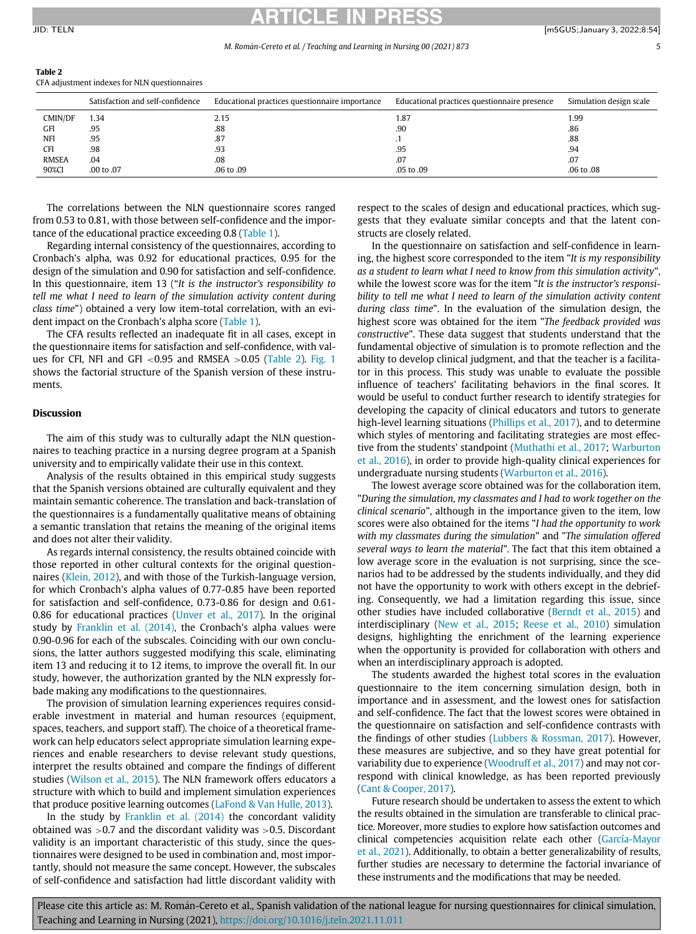## RTICI F JID: TELN [m5GUS;January 3, 2022;8:54]

| i. |  |
|----|--|
|    |  |

<span id="page-4-0"></span>

| Table 2 |  |
|---------|--|
|---------|--|

CFA adjustment indexes for NLN questionnaires

|              | Satisfaction and self-confidence | Educational practices questionnaire importance | Educational practices questionnaire presence | Simulation design scale |
|--------------|----------------------------------|------------------------------------------------|----------------------------------------------|-------------------------|
| CMIN/DF      | 1.34                             | 2.15                                           | 1.87                                         | 1.99                    |
| GFI          | .95                              | .88                                            | .90                                          | .86                     |
| <b>NFI</b>   | .95                              | .87                                            |                                              | .88                     |
| <b>CFI</b>   | .98                              | .93                                            | .95                                          | .94                     |
| <b>RMSEA</b> | .04                              | .08                                            | .07                                          | .07                     |
| 90%CI        | .00 to .07                       | .06 to .09                                     | .05 to .09                                   | .06 to .08              |

The correlations between the NLN questionnaire scores ranged from 0.53 to 0.81, with those between self-confidence and the importance of the educational practice exceeding 0.8 ([Table 1\)](#page-3-0).

Regarding internal consistency of the questionnaires, according to Cronbach's alpha, was 0.92 for educational practices, 0.95 for the design of the simulation and 0.90 for satisfaction and self-confidence. In this questionnaire, item 13 ("It is the instructor's responsibility to tell me what I need to learn of the simulation activity content during class time") obtained a very low item-total correlation, with an evident impact on the Cronbach's alpha score ([Table 1](#page-3-0)).

The CFA results reflected an inadequate fit in all cases, except in the questionnaire items for satisfaction and self-confidence, with values for CFI, NFI and GFI  $<$  0.95 and RMSEA  $>$  0.05 ([Table 2](#page-4-0)). [Fig. 1](#page-2-0) shows the factorial structure of the Spanish version of these instruments.

## Discussion

The aim of this study was to culturally adapt the NLN questionnaires to teaching practice in a nursing degree program at a Spanish university and to empirically validate their use in this context.

Analysis of the results obtained in this empirical study suggests that the Spanish versions obtained are culturally equivalent and they maintain semantic coherence. The translation and back-translation of the questionnaires is a fundamentally qualitative means of obtaining a semantic translation that retains the meaning of the original items and does not alter their validity.

As regards internal consistency, the results obtained coincide with those reported in other cultural contexts for the original questionnaires [\(Klein, 2012\)](#page-5-19), and with those of the Turkish-language version, for which Cronbach's alpha values of 0.77-0.85 have been reported for satisfaction and self-confidence, 0.73-0.86 for design and 0.61- 0.86 for educational practices ([Unver et al., 2017\)](#page-5-20). In the original study by [Franklin et al. \(2014\)](#page-5-16), the Cronbach's alpha values were 0.90-0.96 for each of the subscales. Coinciding with our own conclusions, the latter authors suggested modifying this scale, eliminating item 13 and reducing it to 12 items, to improve the overall fit. In our study, however, the authorization granted by the NLN expressly forbade making any modifications to the questionnaires.

The provision of simulation learning experiences requires considerable investment in material and human resources (equipment, spaces, teachers, and support staff). The choice of a theoretical framework can help educators select appropriate simulation learning experiences and enable researchers to devise relevant study questions, interpret the results obtained and compare the findings of different studies [\(Wilson et al., 2015\)](#page-5-21). The NLN framework offers educators a structure with which to build and implement simulation experiences that produce positive learning outcomes [\(LaFond & Van Hulle, 2013\)](#page-5-22).

In the study by [Franklin et al. \(2014\)](#page-5-16) the concordant validity obtained was >0.7 and the discordant validity was >0.5. Discordant validity is an important characteristic of this study, since the questionnaires were designed to be used in combination and, most importantly, should not measure the same concept. However, the subscales of self-confidence and satisfaction had little discordant validity with

respect to the scales of design and educational practices, which suggests that they evaluate similar concepts and that the latent constructs are closely related.

In the questionnaire on satisfaction and self-confidence in learning, the highest score corresponded to the item "It is my responsibility as a student to learn what I need to know from this simulation activity", while the lowest score was for the item "It is the instructor's responsibility to tell me what I need to learn of the simulation activity content during class time". In the evaluation of the simulation design, the highest score was obtained for the item "The feedback provided was constructive". These data suggest that students understand that the fundamental objective of simulation is to promote reflection and the ability to develop clinical judgment, and that the teacher is a facilitator in this process. This study was unable to evaluate the possible influence of teachers' facilitating behaviors in the final scores. It would be useful to conduct further research to identify strategies for developing the capacity of clinical educators and tutors to generate high-level learning situations ([Phillips et al., 2017\)](#page-5-23), and to determine which styles of mentoring and facilitating strategies are most effective from the students' standpoint ([Muthathi et al., 2017;](#page-5-24) [Warburton](#page-5-25) [et al., 2016](#page-5-25)), in order to provide high-quality clinical experiences for undergraduate nursing students [\(Warburton et al., 2016\)](#page-5-25).

The lowest average score obtained was for the collaboration item, "During the simulation, my classmates and I had to work together on the clinical scenario", although in the importance given to the item, low scores were also obtained for the items "I had the opportunity to work with my classmates during the simulation" and "The simulation offered several ways to learn the material". The fact that this item obtained a low average score in the evaluation is not surprising, since the scenarios had to be addressed by the students individually, and they did not have the opportunity to work with others except in the debriefing. Consequently, we had a limitation regarding this issue, since other studies have included collaborative [\(Berndt et al., 2015](#page-5-26)) and interdisciplinary ([New et al., 2015;](#page-5-27) [Reese et al., 2010](#page-5-28)) simulation designs, highlighting the enrichment of the learning experience when the opportunity is provided for collaboration with others and when an interdisciplinary approach is adopted.

The students awarded the highest total scores in the evaluation questionnaire to the item concerning simulation design, both in importance and in assessment, and the lowest ones for satisfaction and self-confidence. The fact that the lowest scores were obtained in the questionnaire on satisfaction and self-confidence contrasts with the findings of other studies [\(Lubbers & Rossman, 2017](#page-5-4)). However, these measures are subjective, and so they have great potential for variability due to experience [\(Woodruff et al., 2017](#page-5-29)) and may not correspond with clinical knowledge, as has been reported previously ([Cant & Cooper, 2017\)](#page-5-30).

Future research should be undertaken to assess the extent to which the results obtained in the simulation are transferable to clinical practice. Moreover, more studies to explore how satisfaction outcomes and clinical competencies acquisition relate each other [\(García-Mayor](#page-5-31) [et al., 2021](#page-5-31)). Additionally, to obtain a better generalizability of results, further studies are necessary to determine the factorial invariance of these instruments and the modifications that may be needed.